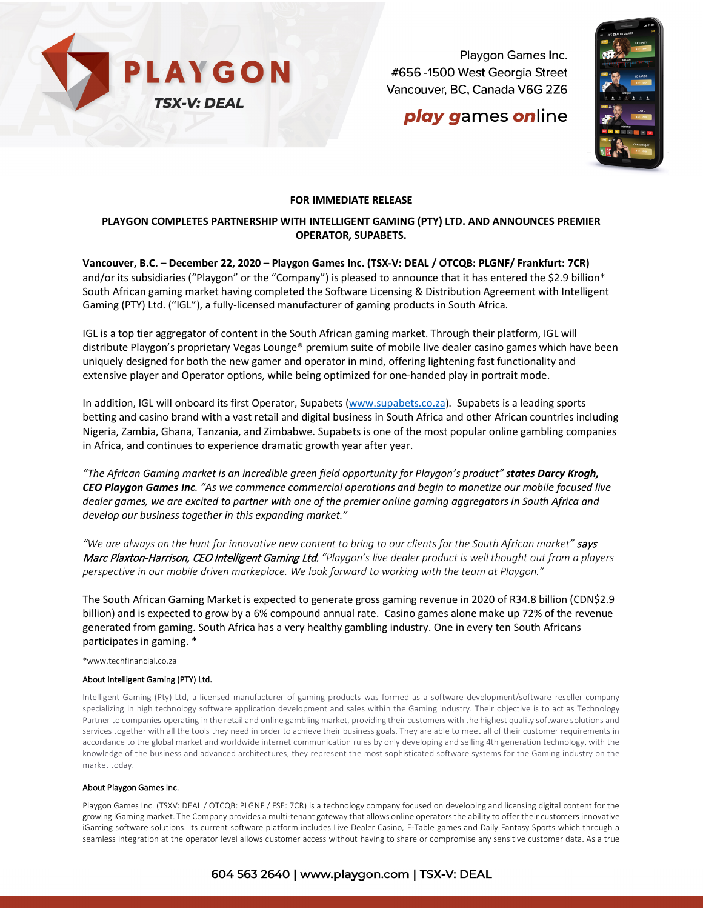

Playgon Games Inc. #656 -1500 West Georgia Street Vancouver, BC, Canada V6G 2Z6

## **play games online**



### **FOR IMMEDIATE RELEASE**

## **PLAYGON COMPLETES PARTNERSHIP WITH INTELLIGENT GAMING (PTY) LTD. AND ANNOUNCES PREMIER OPERATOR, SUPABETS.**

**Vancouver, B.C. – December 22, 2020 – Playgon Games Inc. (TSX-V: DEAL / OTCQB: PLGNF/ Frankfurt: 7CR)** and/or its subsidiaries ("Playgon" or the "Company") is pleased to announce that it has entered the \$2.9 billion\* South African gaming market having completed the Software Licensing & Distribution Agreement with Intelligent Gaming (PTY) Ltd. ("IGL"), a fully-licensed manufacturer of gaming products in South Africa.

IGL is a top tier aggregator of content in the South African gaming market. Through their platform, IGL will distribute Playgon's proprietary Vegas Lounge® premium suite of mobile live dealer casino games which have been uniquely designed for both the new gamer and operator in mind, offering lightening fast functionality and extensive player and Operator options, while being optimized for one-handed play in portrait mode.

In addition, IGL will onboard its first Operator, Supabets [\(www.supabets.co.za\)](http://www.supabets.co.za/). Supabets is a leading sports betting and casino brand with a vast retail and digital business in South Africa and other African countries including Nigeria, Zambia, Ghana, Tanzania, and Zimbabwe. Supabets is one of the most popular online gambling companies in Africa, and continues to experience dramatic growth year after year.

*"The African Gaming market is an incredible green field opportunity for Playgon's product" states Darcy Krogh, CEO Playgon Games Inc. "As we commence commercial operations and begin to monetize our mobile focused live dealer games, we are excited to partner with one of the premier online gaming aggregators in South Africa and develop our business together in this expanding market."*

*"We are always on the hunt for innovative new content to bring to our clients for the South African market"* says Marc Plaxton-Harrison, CEO Intelligent Gaming Ltd. *"Playgon's live dealer product is well thought out from a players perspective in our mobile driven markeplace. We look forward to working with the team at Playgon."*

The South African Gaming Market is expected to generate gross gaming revenue in 2020 of R34.8 billion (CDN\$2.9 billion) and is expected to grow by a 6% compound annual rate. Casino games alone make up 72% of the revenue generated from gaming. South Africa has a very healthy gambling industry. One in every ten South Africans participates in gaming. \*

\*www.techfinancial.co.za

#### About Intelligent Gaming (PTY) Ltd.

Intelligent Gaming (Pty) Ltd, a licensed manufacturer of gaming products was formed as a software development/software reseller company specializing in high technology software application development and sales within the Gaming industry. Their objective is to act as Technology Partner to companies operating in the retail and online gambling market, providing their customers with the highest quality software solutions and services together with all the tools they need in order to achieve their business goals. They are able to meet all of their customer requirements in accordance to the global market and worldwide internet communication rules by only developing and selling 4th generation technology, with the knowledge of the business and advanced architectures, they represent the most sophisticated software systems for the Gaming industry on the market today.

#### About Playgon Games Inc.

Playgon Games Inc. (TSXV: DEAL / OTCQB: PLGNF / FSE: 7CR) is a technology company focused on developing and licensing digital content for the growing iGaming market. The Company provides a multi-tenant gateway that allows online operators the ability to offer their customers innovative iGaming software solutions. Its current software platform includes Live Dealer Casino, E-Table games and Daily Fantasy Sports which through a seamless integration at the operator level allows customer access without having to share or compromise any sensitive customer data. As a true